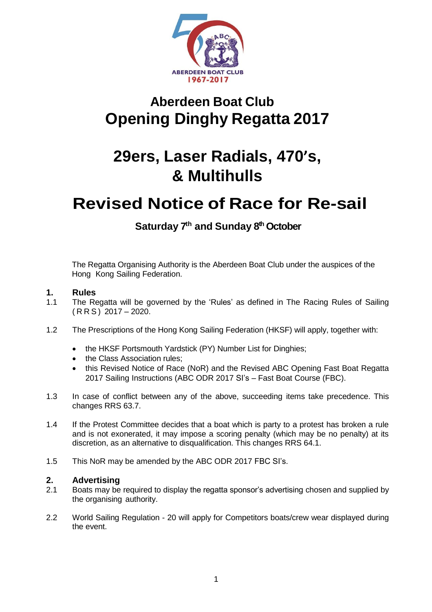

# **Aberdeen Boat Club Opening Dinghy Regatta 2017**

# **29ers, Laser Radials, 470's, & Multihulls**

# **Revised Notice of Race for Re-sail**

# **Saturday 7 th and Sunday 8 th October**

The Regatta Organising Authority is the Aberdeen Boat Club under the auspices of the Hong Kong Sailing Federation.

# **1. Rules**

- 1.1 The Regatta will be governed by the 'Rules' as defined in The Racing Rules of Sailing  $(RRS)$  2017 – 2020.
- 1.2 The Prescriptions of the Hong Kong Sailing Federation (HKSF) will apply, together with:
	- the HKSF Portsmouth Yardstick (PY) Number List for Dinghies;
	- the Class Association rules;
	- this Revised Notice of Race (NoR) and the Revised ABC Opening Fast Boat Regatta 2017 Sailing Instructions (ABC ODR 2017 SI's – Fast Boat Course (FBC).
- 1.3 In case of conflict between any of the above, succeeding items take precedence. This changes RRS 63.7.
- 1.4 If the Protest Committee decides that a boat which is party to a protest has broken a rule and is not exonerated, it may impose a scoring penalty (which may be no penalty) at its discretion, as an alternative to disqualification. This changes RRS 64.1.
- 1.5 This NoR may be amended by the ABC ODR 2017 FBC SI's.

#### **2. Advertising**

- 2.1 Boats may be required to display the regatta sponsor's advertising chosen and supplied by the organising authority.
- 2.2 World Sailing Regulation 20 will apply for Competitors boats/crew wear displayed during the event.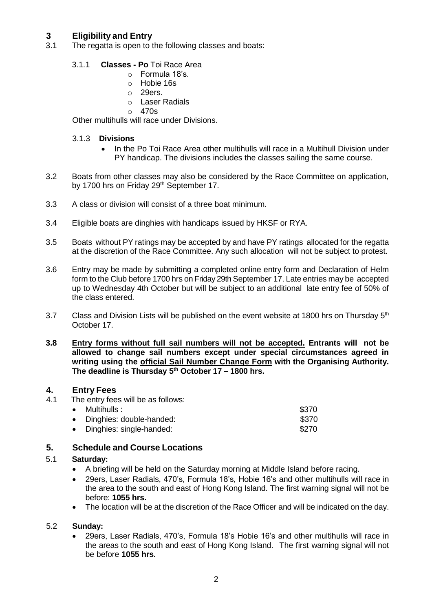# **3 Eligibility and Entry**

The regatta is open to the following classes and boats:

### 3.1.1 **Classes - Po** Toi Race Area

- o Formula 18's.
- o Hobie 16s
- o 29ers.
- o Laser Radials
- o 470s

Other multihulls will race under Divisions.

### 3.1.3 **Divisions**

- In the Po Toi Race Area other multihulls will race in a Multihull Division under PY handicap. The divisions includes the classes sailing the same course.
- 3.2 Boats from other classes may also be considered by the Race Committee on application, by 1700 hrs on Friday 29<sup>th</sup> September 17.
- 3.3 A class or division will consist of a three boat minimum.
- 3.4 Eligible boats are dinghies with handicaps issued by HKSF or RYA.
- 3.5 Boats without PY ratings may be accepted by and have PY ratings allocated for the regatta at the discretion of the Race Committee. Any such allocation will not be subject to protest.
- 3.6 Entry may be made by submitting a completed online entry form and Declaration of Helm form to the Club before 1700 hrs on Friday 29th September 17. Late entries may be accepted up to Wednesday 4th October but will be subject to an additional late entry fee of 50% of the class entered.
- 3.7 Class and Division Lists will be published on the event website at 1800 hrs on Thursday  $5<sup>th</sup>$ October 17.
- **3.8 Entry forms without full sail numbers will not be accepted. Entrants will not be allowed to change sail numbers except under special circumstances agreed in writing using the official Sail Number Change Form with the Organising Authority. The deadline is Thursday 5 th October 17 – 1800 hrs.**

# **4. Entry Fees**

4.1 The entry fees will be as follows:

| $\bullet$ Multihulls :     | \$370 |
|----------------------------|-------|
| • Dinghies: double-handed: | \$370 |
| • Dinghies: single-handed: | \$270 |

# **5. Schedule and Course Locations**

#### 5.1 **Saturday:**

- A briefing will be held on the Saturday morning at Middle Island before racing.
- 29ers, Laser Radials, 470's, Formula 18's, Hobie 16's and other multihulls will race in the area to the south and east of Hong Kong Island. The first warning signal will not be before: **1055 hrs.**
- The location will be at the discretion of the Race Officer and will be indicated on the day.

#### 5.2 **Sunday:**

 29ers, Laser Radials, 470's, Formula 18's Hobie 16's and other multihulls will race in the areas to the south and east of Hong Kong Island. The first warning signal will not be before **1055 hrs.**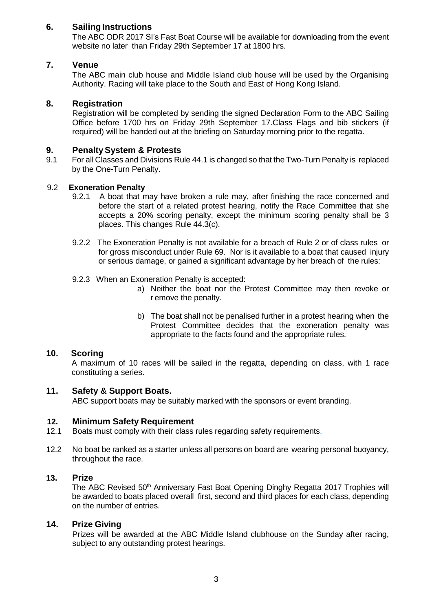## **6. Sailing Instructions**

The ABC ODR 2017 SI's Fast Boat Course will be available for downloading from the event website no later than Friday 29th September 17 at 1800 hrs.

### **7. Venue**

The ABC main club house and Middle Island club house will be used by the Organising Authority. Racing will take place to the South and East of Hong Kong Island.

### **8. Registration**

Registration will be completed by sending the signed Declaration Form to the ABC Sailing Office before 1700 hrs on Friday 29th September 17.Class Flags and bib stickers (if required) will be handed out at the briefing on Saturday morning prior to the regatta.

### **9. PenaltySystem & Protests**

9.1 For all Classes and Divisions Rule 44.1 is changed so that the Two-Turn Penalty is replaced by the One-Turn Penalty.

#### 9.2 **Exoneration Penalty**

- 9.2.1 A boat that may have broken a rule may, after finishing the race concerned and before the start of a related protest hearing, notify the Race Committee that she accepts a 20% scoring penalty, except the minimum scoring penalty shall be 3 places. This changes Rule 44.3(c).
- 9.2.2 The Exoneration Penalty is not available for a breach of Rule 2 or of class rules or for gross misconduct under Rule 69. Nor is it available to a boat that caused injury or serious damage, or gained a significant advantage by her breach of the rules:
- 9.2.3 When an Exoneration Penalty is accepted:
	- a) Neither the boat nor the Protest Committee may then revoke or r emove the penalty.
	- b) The boat shall not be penalised further in a protest hearing when the Protest Committee decides that the exoneration penalty was appropriate to the facts found and the appropriate rules.

#### **10. Scoring**

A maximum of 10 races will be sailed in the regatta, depending on class, with 1 race constituting a series.

#### **11. Safety & Support Boats.**

ABC support boats may be suitably marked with the sponsors or event branding.

#### **12. Minimum Safety Requirement**

- 12.1 Boats must comply with their class rules regarding safety requirements.
- 12.2 No boat be ranked as a starter unless all persons on board are wearing personal buoyancy, throughout the race.

#### **13. Prize**

The ABC Revised 50<sup>th</sup> Anniversary Fast Boat Opening Dinghy Regatta 2017 Trophies will be awarded to boats placed overall first, second and third places for each class, depending on the number of entries.

#### **14. Prize Giving**

Prizes will be awarded at the ABC Middle Island clubhouse on the Sunday after racing, subject to any outstanding protest hearings.